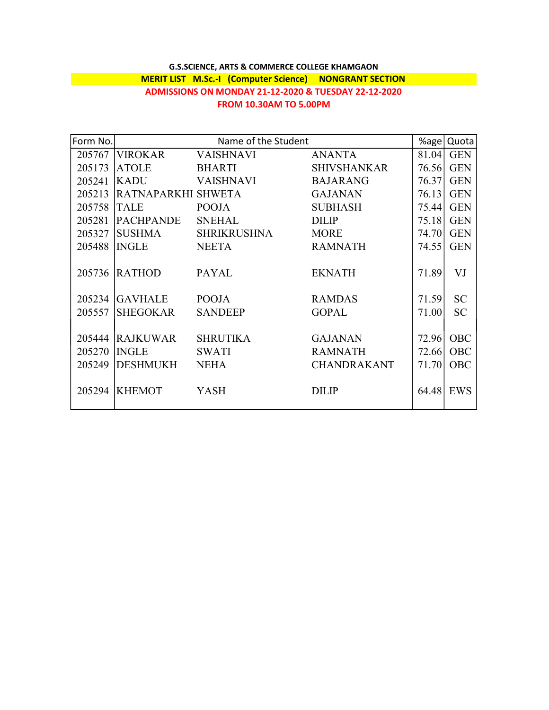## G.S.SCIENCE, ARTS & COMMERCE COLLEGE KHAMGAON MERIT LIST M.Sc.-I (Computer Science) NONGRANT SECTION ADMISSIONS ON MONDAY 21-12-2020 & TUESDAY 22-12-2020 FROM 10.30AM TO 5.00PM

| Form No. | Name of the Student |                    |                    | %age   | Quota      |
|----------|---------------------|--------------------|--------------------|--------|------------|
| 205767   | <b>VIROKAR</b>      | VAISHNAVI          | <b>ANANTA</b>      | 81.04  | <b>GEN</b> |
| 205173   | <b>ATOLE</b>        | <b>BHARTI</b>      | <b>SHIVSHANKAR</b> | 76.56  | <b>GEN</b> |
| 205241   | <b>KADU</b>         | <b>VAISHNAVI</b>   | <b>BAJARANG</b>    | 76.371 | <b>GEN</b> |
| 205213   | RATNAPARKHI SHWETA  |                    | <b>GAJANAN</b>     | 76.131 | <b>GEN</b> |
| 205758   | <b>TALE</b>         | <b>POOJA</b>       | <b>SUBHASH</b>     | 75.44  | <b>GEN</b> |
| 205281   | <b>PACHPANDE</b>    | <b>SNEHAL</b>      | <b>DILIP</b>       | 75.18  | <b>GEN</b> |
| 205327   | <b>SUSHMA</b>       | <b>SHRIKRUSHNA</b> | <b>MORE</b>        | 74.70  | <b>GEN</b> |
| 205488   | <b>INGLE</b>        | <b>NEETA</b>       | <b>RAMNATH</b>     | 74.55  | <b>GEN</b> |
|          |                     |                    |                    |        |            |
| 205736   | <b>RATHOD</b>       | <b>PAYAL</b>       | <b>EKNATH</b>      | 71.89  | VJ         |
| 205234   | <b>GAVHALE</b>      | <b>POOJA</b>       | <b>RAMDAS</b>      | 71.59  | <b>SC</b>  |
| 205557   | <b>SHEGOKAR</b>     | <b>SANDEEP</b>     | <b>GOPAL</b>       | 71.00  | <b>SC</b>  |
|          |                     |                    |                    |        |            |
| 205444   | <b>RAJKUWAR</b>     | <b>SHRUTIKA</b>    | <b>GAJANAN</b>     | 72.96  | OBC        |
| 205270   | <b>INGLE</b>        | <b>SWATI</b>       | <b>RAMNATH</b>     | 72.66  | OBC        |
| 205249   | <b>DESHMUKH</b>     | <b>NEHA</b>        | <b>CHANDRAKANT</b> | 71.70  | <b>OBC</b> |
|          |                     |                    |                    |        |            |
| 205294   | <b>KHEMOT</b>       | YASH               | <b>DILIP</b>       | 64.48  | EWS        |
|          |                     |                    |                    |        |            |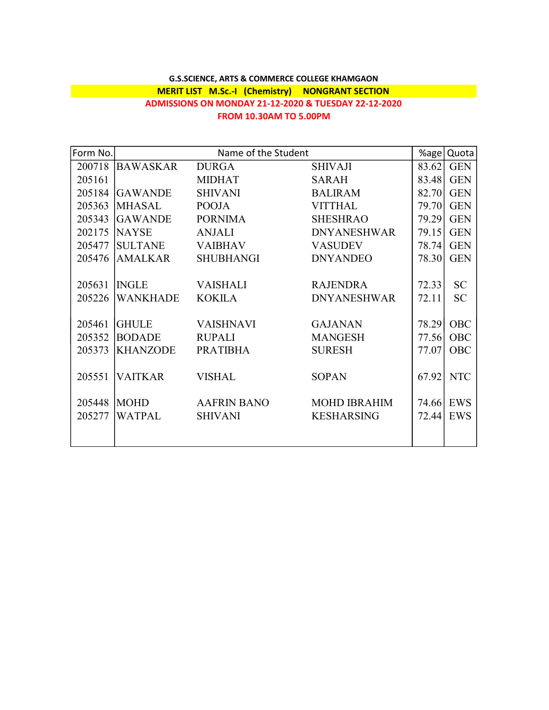## G.S.SCIENCE, ARTS & COMMERCE COLLEGE KHAMGAON MERIT LIST M.Sc.-I (Chemistry) NONGRANT SECTION ADMISSIONS ON MONDAY 21-12-2020 & TUESDAY 22-12-2020 FROM 10.30AM TO 5.00PM

| Form No. | Name of the Student |                    |                     | %age  | Quota      |
|----------|---------------------|--------------------|---------------------|-------|------------|
| 200718   | <b>BAWASKAR</b>     | <b>DURGA</b>       | <b>SHIVAJI</b>      | 83.62 | <b>GEN</b> |
| 205161   |                     | <b>MIDHAT</b>      | <b>SARAH</b>        | 83.48 | <b>GEN</b> |
| 205184   | <b>GAWANDE</b>      | <b>SHIVANI</b>     | <b>BALIRAM</b>      | 82.70 | <b>GEN</b> |
| 205363   | <b>MHASAL</b>       | <b>POOJA</b>       | <b>VITTHAL</b>      | 79.70 | <b>GEN</b> |
| 205343   | <b>GAWANDE</b>      | <b>PORNIMA</b>     | <b>SHESHRAO</b>     | 79.29 | <b>GEN</b> |
| 202175   | <b>NAYSE</b>        | <b>ANJALI</b>      | <b>DNYANESHWAR</b>  | 79.15 | <b>GEN</b> |
| 205477   | <b>SULTANE</b>      | <b>VAIBHAV</b>     | <b>VASUDEV</b>      | 78.74 | <b>GEN</b> |
| 205476   | <b>AMALKAR</b>      | <b>SHUBHANGI</b>   | <b>DNYANDEO</b>     | 78.30 | <b>GEN</b> |
|          |                     |                    |                     |       |            |
| 205631   | <b>INGLE</b>        | <b>VAISHALI</b>    | <b>RAJENDRA</b>     | 72.33 | <b>SC</b>  |
| 205226   | <b>WANKHADE</b>     | <b>KOKILA</b>      | <b>DNYANESHWAR</b>  | 72.11 | <b>SC</b>  |
|          |                     |                    |                     |       |            |
| 205461   | <b>GHULE</b>        | <b>VAISHNAVI</b>   | <b>GAJANAN</b>      | 78.29 | OBC        |
| 205352   | <b>BODADE</b>       | <b>RUPALI</b>      | <b>MANGESH</b>      | 77.56 | <b>OBC</b> |
| 205373   | <b>KHANZODE</b>     | <b>PRATIBHA</b>    | <b>SURESH</b>       | 77.07 | <b>OBC</b> |
|          |                     |                    |                     |       |            |
| 205551   | <b>VAITKAR</b>      | <b>VISHAL</b>      | <b>SOPAN</b>        | 67.92 | <b>NTC</b> |
|          |                     |                    |                     |       |            |
| 205448   | <b>MOHD</b>         | <b>AAFRIN BANO</b> | <b>MOHD IBRAHIM</b> |       | 74.66 EWS  |
| 205277   | <b>WATPAL</b>       | <b>SHIVANI</b>     | <b>KESHARSING</b>   | 72.44 | EWS        |
|          |                     |                    |                     |       |            |
|          |                     |                    |                     |       |            |